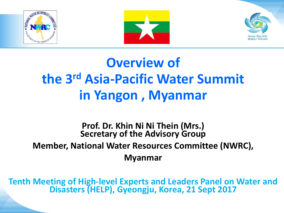





# **Overview of the 3rd Asia-Pacific Water Summit in Yangon , Myanmar**

### **Prof. Dr. Khin Ni Ni Thein (Mrs.) Secretary of the Advisory Group Member, National Water Resources Committee (NWRC), Myanmar**

**Tenth Meeting of High-level Experts and Leaders Panel on Water and Disasters (HELP), Gyeongju, Korea, 21 Sept 2017**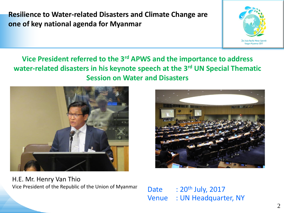**Resilience to Water-related Disasters and Climate Change are one of key national agenda for Myanmar** 



#### **Vice President referred to the 3rd APWS and the importance to address water-related disasters in his keynote speech at the 3rd UN Special Thematic Session on Water and Disasters**



H.E. Mr. Henry Van Thio Vice President of the Republic of the Union of Myanmar



Date  $\therefore$  20<sup>th</sup> July, 2017 Venue : UN Headquarter, NY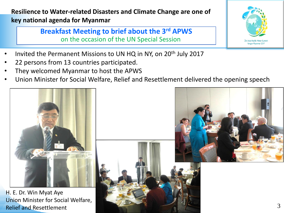**Resilience to Water-related Disasters and Climate Change are one of key national agenda for Myanmar** 

> **Breakfast Meeting to brief about the 3rd APWS** on the occasion of the UN Special Session

- Invited the Permanent Missions to UN HQ in NY, on 20<sup>th</sup> July 2017
- 22 persons from 13 countries participated.
- They welcomed Myanmar to host the APWS
- Union Minister for Social Welfare, Relief and Resettlement delivered the opening speech





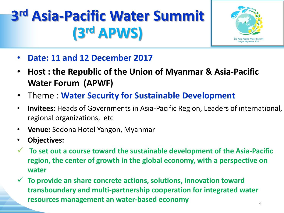# **3 rd Asia-Pacific Water Summit (3rd APWS)**



- **Date: 11 and 12 December 2017**
- **Host : the Republic of the Union of Myanmar & Asia-Pacific Water Forum (APWF)**
- Theme : **Water Security for Sustainable Development**
- **Invitees**: Heads of Governments in Asia-Pacific Region, Leaders of international, regional organizations, etc
- **Venue:** Sedona Hotel Yangon, Myanmar
- **Objectives:**
- **To set out a course toward the sustainable development of the Asia-Pacific region, the center of growth in the global economy, with a perspective on water**
- **To provide an share concrete actions, solutions, innovation toward transboundary and multi-partnership cooperation for integrated water resources management an water-based economy**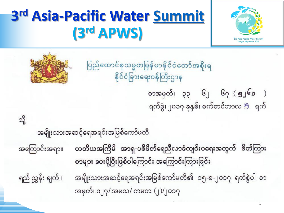

# **3 rd Asia-Pacific Water [Summit](Asia-Pacific(20-9-17)SummitLevel-list_MOFA Mm.pdf) (3rd APWS)**

ပြည်ထောင်စုသမ္မတမြန်မာနိုင်ငံတော်အစိုးရ နိုင်ငံခြားရေးဝန်ကြီးဌာန



သို့

စာအမှတ်၊ ၃၃ ၆၂ ၆၇ (**၅၂၆၀** ) ရက်စွဲ၊ ၂၀၁၇ ခုနှစ်၊ စက်တင်ဘာလ <sup>သွ</sup> ရက်

အမျိုးသားအဆင့်ရေအရင်းအမြစ်ကော်မတီ

တတိယအကြိမ် အာရှ-ပစိဖိတ်ရေညီလာခံကျင်းပရေးအတွက် ဖိတ်ကြား အကြောင်းအရာ။ စာများ ပေးပို့ပြီးဖြစ်ပါကြောင်း အကြောင်းကြားခြင်း ရည် ညွှန်း ချက်။

အမျိုးသားအဆင့်ရေအရင်းအမြစ်ကော်မတီ၏ ၁၅-၈-၂၀၁၇ ရက်စွဲပါ စာ အမှတ်၊ ၁၂၇/ အမသ/ ကမတ (၂)/၂၀၁၇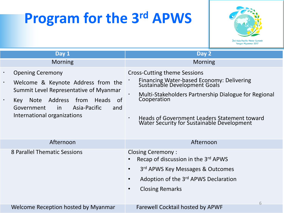# **Program for the 3rd APWS**



| Day 1                                                                                                                                                                                                                                                                   | Day 2                                                                                                                                                                                                                                                                                                            |
|-------------------------------------------------------------------------------------------------------------------------------------------------------------------------------------------------------------------------------------------------------------------------|------------------------------------------------------------------------------------------------------------------------------------------------------------------------------------------------------------------------------------------------------------------------------------------------------------------|
| <b>Morning</b>                                                                                                                                                                                                                                                          | <b>Morning</b>                                                                                                                                                                                                                                                                                                   |
| <b>Opening Ceremony</b><br>$\bullet$<br>Welcome & Keynote Address from the<br>$\bullet$<br>Summit Level Representative of Myanmar<br>Note Address<br>from Heads of<br>$\bullet$<br>Key<br>Asia-Pacific<br>Government<br><i>in</i><br>and<br>International organizations | <b>Cross-Cutting theme Sessions</b><br>Financing Water-based Economy: Delivering<br>Sustainable Development Goals<br>Multi-Stakeholders Partnership Dialogue for Regional<br>$\bullet$<br>Cooperation<br>Heads of Government Leaders Statement toward<br>$\bullet$<br>Water Security for Sustainable Development |
| Afternoon                                                                                                                                                                                                                                                               | Afternoon                                                                                                                                                                                                                                                                                                        |
| 8 Parallel Thematic Sessions                                                                                                                                                                                                                                            | <b>Closing Ceremony:</b><br>Recap of discussion in the 3rd APWS<br>3rd APWS Key Messages & Outcomes<br>$\bullet$<br>Adoption of the 3rd APWS Declaration<br>$\bullet$<br><b>Closing Remarks</b><br>$\bullet$<br>6                                                                                                |
| Welcome Reception hosted by Myanmar                                                                                                                                                                                                                                     | <b>Farewell Cocktail hosted by APWF</b>                                                                                                                                                                                                                                                                          |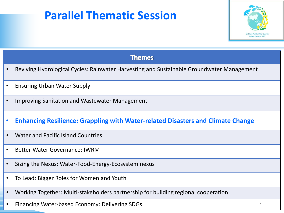# **Parallel Thematic Session**



|           | <b>Themes</b>                                                                             |
|-----------|-------------------------------------------------------------------------------------------|
|           | Reviving Hydrological Cycles: Rainwater Harvesting and Sustainable Groundwater Management |
|           | <b>Ensuring Urban Water Supply</b>                                                        |
|           | Improving Sanitation and Wastewater Management                                            |
| $\bullet$ | <b>Enhancing Resilience: Grappling with Water-related Disasters and Climate Change</b>    |
| $\bullet$ | <b>Water and Pacific Island Countries</b>                                                 |
| $\bullet$ | <b>Better Water Governance: IWRM</b>                                                      |
| $\bullet$ | Sizing the Nexus: Water-Food-Energy-Ecosystem nexus                                       |
| $\bullet$ | To Lead: Bigger Roles for Women and Youth                                                 |
| $\bullet$ | Working Together: Multi-stakeholders partnership for building regional cooperation        |

• Financing Water-based Economy: Delivering SDGs 7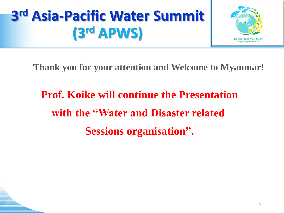# **3 rd Asia-Pacific Water Summit (3rd APWS)**



**Thank you for your attention and Welcome to Myanmar!**

**Prof. Koike will continue the Presentation with the "Water and Disaster related Sessions organisation".**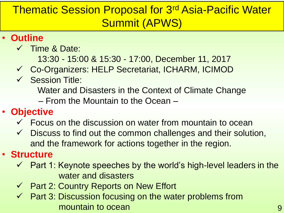# Thematic Session Proposal for 3rd Asia-Pacific Water Summit (APWS)

## • **Outline**

- $\checkmark$  Time & Date:
	- 13:30 15:00 & 15:30 17:00, December 11, 2017
- Co-Organizers: HELP Secretariat, ICHARM, ICIMOD
- $\checkmark$  Session Title:
	- Water and Disasters in the Context of Climate Change
	- From the Mountain to the Ocean –

# • **Objective**

- $\checkmark$  Focus on the discussion on water from mountain to ocean
- $\checkmark$  Discuss to find out the common challenges and their solution, and the framework for actions together in the region.

## • **Structure**

- $\checkmark$  Part 1: Keynote speeches by the world's high-level leaders in the water and disasters
- $\checkmark$  Part 2: Country Reports on New Effort
- $\checkmark$  Part 3: Discussion focusing on the water problems from mountain to ocean and the state of the state of the state of the state of the state of the state of the state o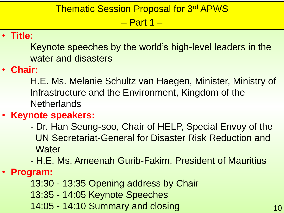#### Thematic Session Proposal for 3rd APWS

– Part 1 –

#### • **Title:**

Keynote speeches by the world's high-level leaders in the water and disasters

#### • **Chair:**

H.E. Ms. Melanie Schultz van Haegen, Minister, Ministry of Infrastructure and the Environment, Kingdom of the **Netherlands** 

#### • **Keynote speakers:**

- Dr. Han Seung-soo, Chair of HELP, Special Envoy of the UN Secretariat-General for Disaster Risk Reduction and **Water**
- H.E. Ms. Ameenah Gurib-Fakim, President of Mauritius

#### • **Program:**

- 13:30 13:35 Opening address by Chair
- 13:35 14:05 Keynote Speeches

14:05 - 14:10 Summary and closing 10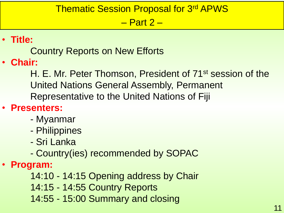### Thematic Session Proposal for 3rd APWS

– Part 2 –

# • **Title:**

Country Reports on New Efforts

• **Chair:**

H. E. Mr. Peter Thomson, President of 71<sup>st</sup> session of the United Nations General Assembly, Permanent Representative to the United Nations of Fiji

## • **Presenters:**

- Myanmar
- Philippines
- Sri Lanka
- Country(ies) recommended by SOPAC
- **Program:**
	- 14:10 14:15 Opening address by Chair
	- 14:15 14:55 Country Reports
	- 14:55 15:00 Summary and closing